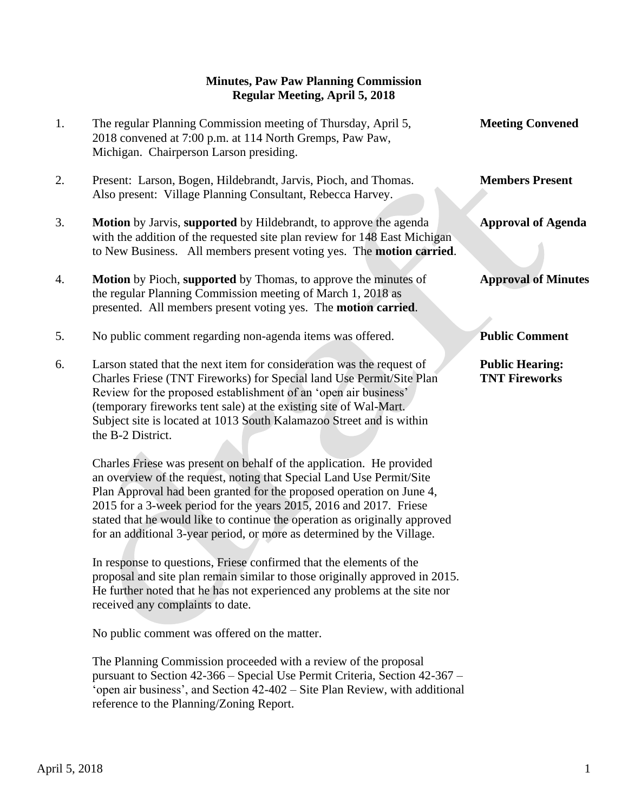## **Minutes, Paw Paw Planning Commission Regular Meeting, April 5, 2018**

- 1. The regular Planning Commission meeting of Thursday, April 5, **Meeting Convened** 2018 convened at 7:00 p.m. at 114 North Gremps, Paw Paw, Michigan. Chairperson Larson presiding.
- 2. Present: Larson, Bogen, Hildebrandt, Jarvis, Pioch, and Thomas. **Members Present** Also present: Village Planning Consultant, Rebecca Harvey.
- 3. **Motion** by Jarvis, **supported** by Hildebrandt, to approve the agenda **Approval of Agenda** with the addition of the requested site plan review for 148 East Michigan to New Business. All members present voting yes. The **motion carried**.
- 4. **Motion** by Pioch, **supported** by Thomas, to approve the minutes of **Approval of Minutes** the regular Planning Commission meeting of March 1, 2018 as presented. All members present voting yes. The **motion carried**.
- 5. No public comment regarding non-agenda items was offered. **Public Comment**
- 6. Larson stated that the next item for consideration was the request of **Public Hearing:** Charles Friese (TNT Fireworks) for Special land Use Permit/Site Plan **TNT Fireworks** Review for the proposed establishment of an 'open air business' (temporary fireworks tent sale) at the existing site of Wal-Mart. Subject site is located at 1013 South Kalamazoo Street and is within the B-2 District.

 Charles Friese was present on behalf of the application. He provided an overview of the request, noting that Special Land Use Permit/Site Plan Approval had been granted for the proposed operation on June 4, 2015 for a 3-week period for the years 2015, 2016 and 2017. Friese stated that he would like to continue the operation as originally approved for an additional 3-year period, or more as determined by the Village.

 In response to questions, Friese confirmed that the elements of the proposal and site plan remain similar to those originally approved in 2015. He further noted that he has not experienced any problems at the site nor received any complaints to date.

No public comment was offered on the matter.

 The Planning Commission proceeded with a review of the proposal pursuant to Section 42-366 – Special Use Permit Criteria, Section 42-367 – 'open air business', and Section 42-402 – Site Plan Review, with additional reference to the Planning/Zoning Report.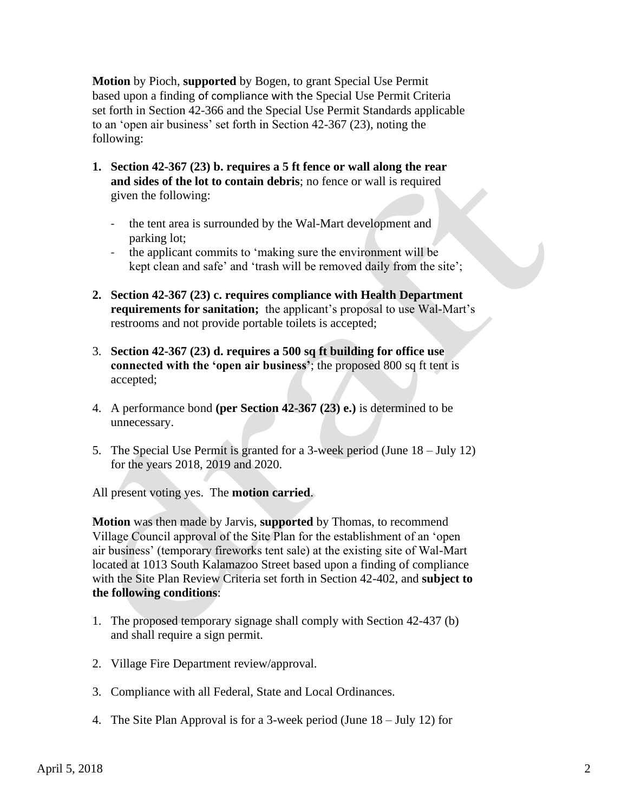**Motion** by Pioch, **supported** by Bogen, to grant Special Use Permit based upon a finding of compliance with the Special Use Permit Criteria set forth in Section 42-366 and the Special Use Permit Standards applicable to an 'open air business' set forth in Section 42-367 (23), noting the following:

- **1. Section 42-367 (23) b. requires a 5 ft fence or wall along the rear and sides of the lot to contain debris**; no fence or wall is required given the following:
	- the tent area is surrounded by the Wal-Mart development and parking lot;
	- the applicant commits to 'making sure the environment will be kept clean and safe' and 'trash will be removed daily from the site';
- **2. Section 42-367 (23) c. requires compliance with Health Department requirements for sanitation;** the applicant's proposal to use Wal-Mart's restrooms and not provide portable toilets is accepted;
- 3. **Section 42-367 (23) d. requires a 500 sq ft building for office use connected with the 'open air business'**; the proposed 800 sq ft tent is accepted;
- 4. A performance bond **(per Section 42-367 (23) e.)** is determined to be unnecessary.
- 5. The Special Use Permit is granted for a 3-week period (June 18 July 12) for the years 2018, 2019 and 2020.

All present voting yes. The **motion carried**.

 **Motion** was then made by Jarvis, **supported** by Thomas, to recommend Village Council approval of the Site Plan for the establishment of an 'open air business' (temporary fireworks tent sale) at the existing site of Wal-Mart located at 1013 South Kalamazoo Street based upon a finding of compliance with the Site Plan Review Criteria set forth in Section 42-402, and **subject to the following conditions**:

- 1. The proposed temporary signage shall comply with Section 42-437 (b) and shall require a sign permit.
- 2. Village Fire Department review/approval.
- 3. Compliance with all Federal, State and Local Ordinances.
- 4. The Site Plan Approval is for a 3-week period (June 18 July 12) for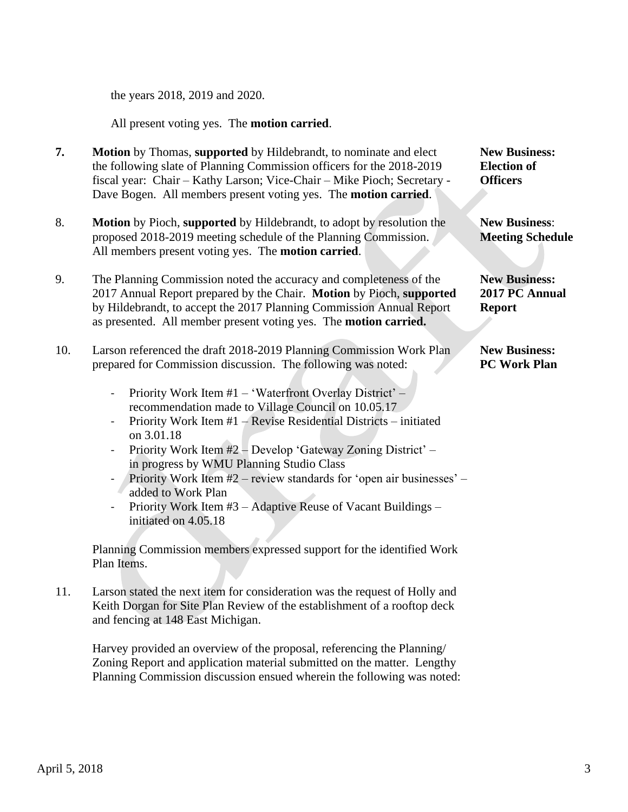the years 2018, 2019 and 2020.

All present voting yes. The **motion carried**.

- **7. Motion** by Thomas, **supported** by Hildebrandt, to nominate and elect **New Business:** the following slate of Planning Commission officers for the 2018-2019 **Election of** fiscal year: Chair – Kathy Larson; Vice-Chair – Mike Pioch; Secretary - **Officers** Dave Bogen. All members present voting yes. The **motion carried**.
- 8. **Motion** by Pioch, **supported** by Hildebrandt, to adopt by resolution the **New Business**: proposed 2018-2019 meeting schedule of the Planning Commission. **Meeting Schedule** All members present voting yes. The **motion carried**.
- 9. The Planning Commission noted the accuracy and completeness of the **New Business:** 2017 Annual Report prepared by the Chair. **Motion** by Pioch, **supported 2017 PC Annual** by Hildebrandt, to accept the 2017 Planning Commission Annual Report **Report** as presented. All member present voting yes. The **motion carried.**
- 10. Larson referenced the draft 2018-2019 Planning Commission Work Plan New Business: prepared for Commission discussion. The following was noted: **PC Work Plan**
	- Priority Work Item #1 'Waterfront Overlay District' recommendation made to Village Council on 10.05.17
	- Priority Work Item #1 Revise Residential Districts initiated on 3.01.18
	- Priority Work Item #2 Develop 'Gateway Zoning District' in progress by WMU Planning Studio Class
	- Priority Work Item #2 review standards for 'open air businesses' added to Work Plan
	- Priority Work Item #3 Adaptive Reuse of Vacant Buildings initiated on 4.05.18

 Planning Commission members expressed support for the identified Work Plan Items.

11. Larson stated the next item for consideration was the request of Holly and Keith Dorgan for Site Plan Review of the establishment of a rooftop deck and fencing at 148 East Michigan.

 Harvey provided an overview of the proposal, referencing the Planning/ Zoning Report and application material submitted on the matter. Lengthy Planning Commission discussion ensued wherein the following was noted: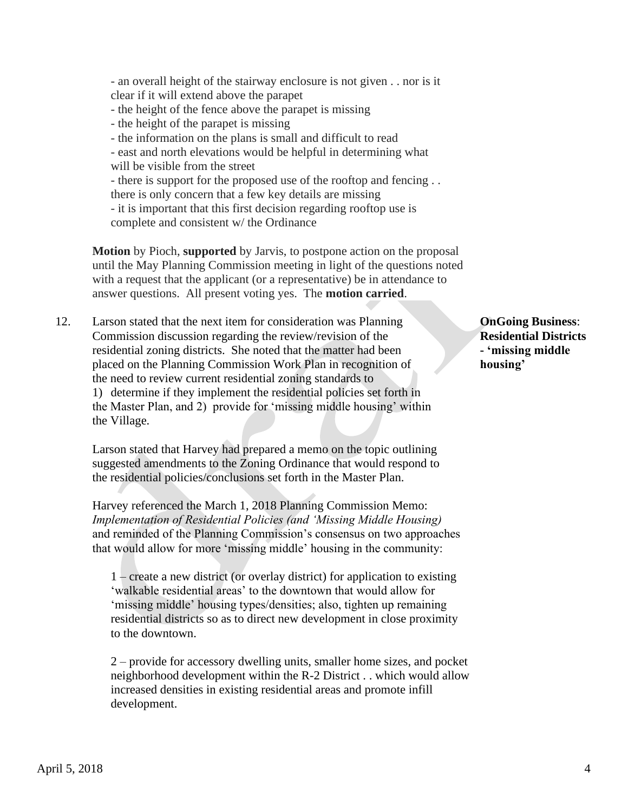- an overall height of the stairway enclosure is not given . . nor is it clear if it will extend above the parapet

- the height of the fence above the parapet is missing
- the height of the parapet is missing
- the information on the plans is small and difficult to read

- east and north elevations would be helpful in determining what will be visible from the street

- there is support for the proposed use of the rooftop and fencing . . there is only concern that a few key details are missing

- it is important that this first decision regarding rooftop use is complete and consistent w/ the Ordinance

 **Motion** by Pioch, **supported** by Jarvis, to postpone action on the proposal until the May Planning Commission meeting in light of the questions noted with a request that the applicant (or a representative) be in attendance to answer questions. All present voting yes. The **motion carried**.

12. Larson stated that the next item for consideration was Planning **OnGoing Business**: Commission discussion regarding the review/revision of the **Residential Districts** residential zoning districts. She noted that the matter had been **- 'missing middle** placed on the Planning Commission Work Plan in recognition of **housing'** the need to review current residential zoning standards to 1) determine if they implement the residential policies set forth in the Master Plan, and 2) provide for 'missing middle housing' within the Village.

 Larson stated that Harvey had prepared a memo on the topic outlining suggested amendments to the Zoning Ordinance that would respond to the residential policies/conclusions set forth in the Master Plan.

 Harvey referenced the March 1, 2018 Planning Commission Memo: *Implementation of Residential Policies (and 'Missing Middle Housing)* and reminded of the Planning Commission's consensus on two approaches that would allow for more 'missing middle' housing in the community:

1 – create a new district (or overlay district) for application to existing 'walkable residential areas' to the downtown that would allow for 'missing middle' housing types/densities; also, tighten up remaining residential districts so as to direct new development in close proximity to the downtown.

2 – provide for accessory dwelling units, smaller home sizes, and pocket neighborhood development within the R-2 District . . which would allow increased densities in existing residential areas and promote infill development.